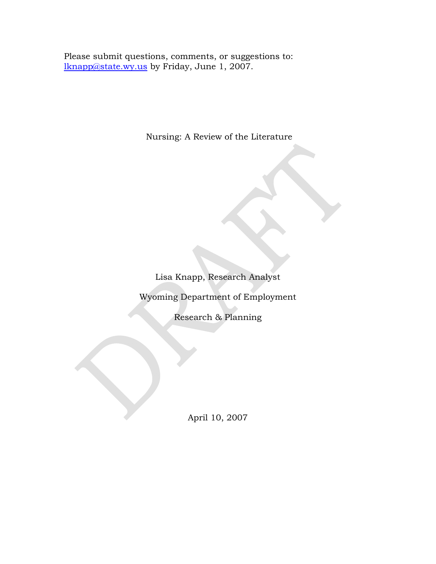Please submit questions, comments, or suggestions to: [lknapp@state.wy.us](mailto:lknapp@state.wy.us) by Friday, June 1, 2007.

Nursing: A Review of the Literature

Lisa Knapp, Research Analyst

Wyoming Department of Employment

Research & Planning

April 10, 2007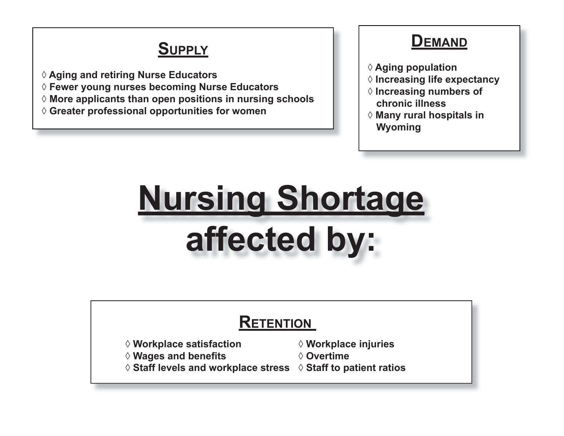## **SUPPLY**

**◊ Aging and retiring Nurse Educators**

- **◊ Fewer young nurses becoming Nurse Educators**
- **◊ More applicants than open positions in nursing schools**
- **◊ Greater professional opportunities for women**

### **DEMAND**

- **◊ Aging population**
- **◊ Increasing life expectancy**
- **◊ Increasing numbers of chronic illness**
- **◊ Many rural hospitals in Wyoming**

# **Nursing Shortage affected by:**

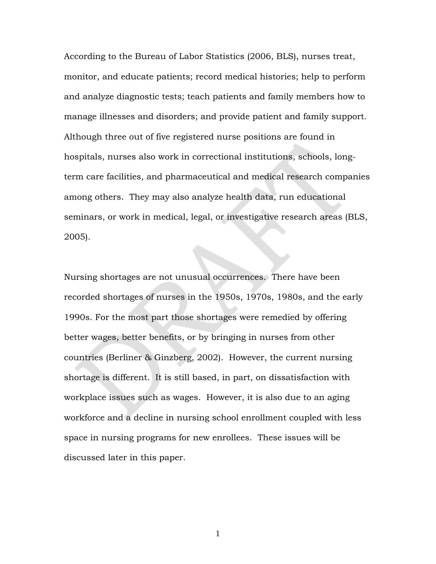According to the Bureau of Labor Statistics (2006, BLS), nurses treat, monitor, and educate patients; record medical histories; help to perform and analyze diagnostic tests; teach patients and family members how to manage illnesses and disorders; and provide patient and family support. Although three out of five registered nurse positions are found in hospitals, nurses also work in correctional institutions, schools, longterm care facilities, and pharmaceutical and medical research companies among others. They may also analyze health data, run educational seminars, or work in medical, legal, or investigative research areas (BLS, 2005).

Nursing shortages are not unusual occurrences. There have been recorded shortages of nurses in the 1950s, 1970s, 1980s, and the early 1990s. For the most part those shortages were remedied by offering better wages, better benefits, or by bringing in nurses from other countries (Berliner & Ginzberg, 2002). However, the current nursing shortage is different. It is still based, in part, on dissatisfaction with workplace issues such as wages. However, it is also due to an aging workforce and a decline in nursing school enrollment coupled with less space in nursing programs for new enrollees. These issues will be discussed later in this paper.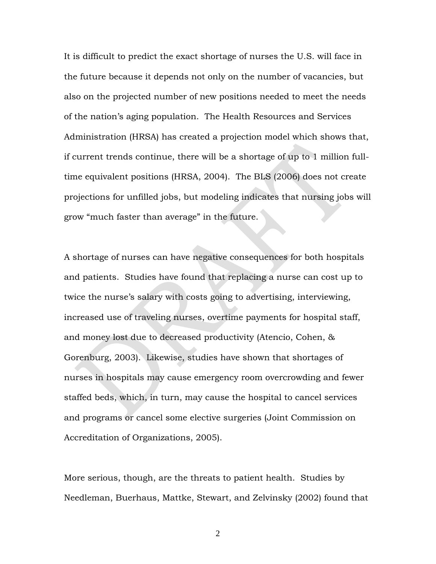It is difficult to predict the exact shortage of nurses the U.S. will face in the future because it depends not only on the number of vacancies, but also on the projected number of new positions needed to meet the needs of the nation's aging population. The Health Resources and Services Administration (HRSA) has created a projection model which shows that, if current trends continue, there will be a shortage of up to 1 million fulltime equivalent positions (HRSA, 2004). The BLS (2006) does not create projections for unfilled jobs, but modeling indicates that nursing jobs will grow "much faster than average" in the future.

A shortage of nurses can have negative consequences for both hospitals and patients. Studies have found that replacing a nurse can cost up to twice the nurse's salary with costs going to advertising, interviewing, increased use of traveling nurses, overtime payments for hospital staff, and money lost due to decreased productivity (Atencio, Cohen, & Gorenburg, 2003). Likewise, studies have shown that shortages of nurses in hospitals may cause emergency room overcrowding and fewer staffed beds, which, in turn, may cause the hospital to cancel services and programs or cancel some elective surgeries (Joint Commission on Accreditation of Organizations, 2005).

More serious, though, are the threats to patient health. Studies by Needleman, Buerhaus, Mattke, Stewart, and Zelvinsky (2002) found that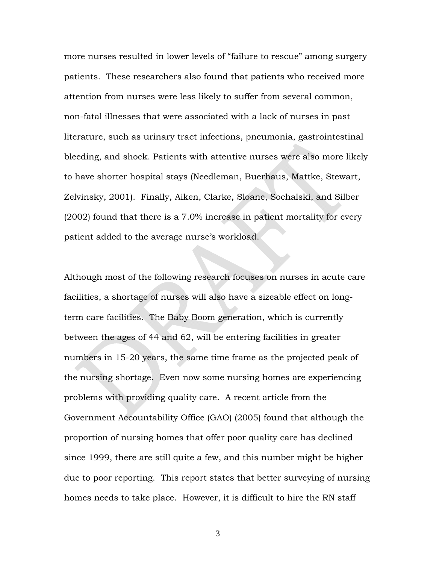more nurses resulted in lower levels of "failure to rescue" among surgery patients. These researchers also found that patients who received more attention from nurses were less likely to suffer from several common, non-fatal illnesses that were associated with a lack of nurses in past literature, such as urinary tract infections, pneumonia, gastrointestinal bleeding, and shock. Patients with attentive nurses were also more likely to have shorter hospital stays (Needleman, Buerhaus, Mattke, Stewart, Zelvinsky, 2001). Finally, Aiken, Clarke, Sloane, Sochalski, and Silber (2002) found that there is a 7.0% increase in patient mortality for every patient added to the average nurse's workload.

Although most of the following research focuses on nurses in acute care facilities, a shortage of nurses will also have a sizeable effect on longterm care facilities. The Baby Boom generation, which is currently between the ages of 44 and 62, will be entering facilities in greater numbers in 15-20 years, the same time frame as the projected peak of the nursing shortage. Even now some nursing homes are experiencing problems with providing quality care. A recent article from the Government Accountability Office (GAO) (2005) found that although the proportion of nursing homes that offer poor quality care has declined since 1999, there are still quite a few, and this number might be higher due to poor reporting. This report states that better surveying of nursing homes needs to take place. However, it is difficult to hire the RN staff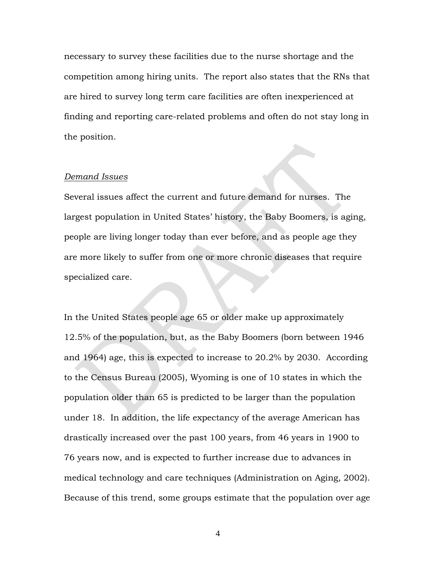necessary to survey these facilities due to the nurse shortage and the competition among hiring units. The report also states that the RNs that are hired to survey long term care facilities are often inexperienced at finding and reporting care-related problems and often do not stay long in the position.

#### *Demand Issues*

Several issues affect the current and future demand for nurses. The largest population in United States' history, the Baby Boomers, is aging, people are living longer today than ever before, and as people age they are more likely to suffer from one or more chronic diseases that require specialized care.

In the United States people age 65 or older make up approximately 12.5% of the population, but, as the Baby Boomers (born between 1946 and 1964) age, this is expected to increase to 20.2% by 2030. According to the Census Bureau (2005), Wyoming is one of 10 states in which the population older than 65 is predicted to be larger than the population under 18. In addition, the life expectancy of the average American has drastically increased over the past 100 years, from 46 years in 1900 to 76 years now, and is expected to further increase due to advances in medical technology and care techniques (Administration on Aging, 2002). Because of this trend, some groups estimate that the population over age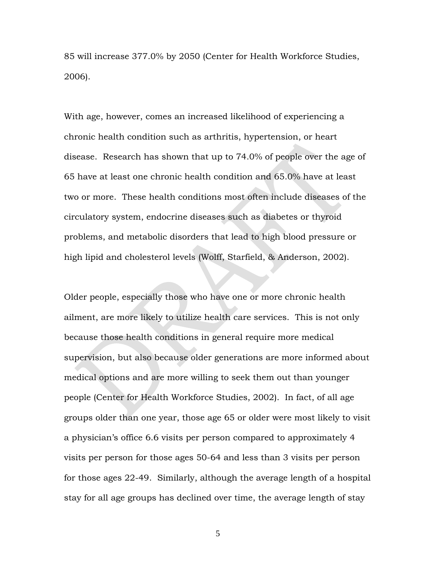85 will increase 377.0% by 2050 (Center for Health Workforce Studies, 2006).

With age, however, comes an increased likelihood of experiencing a chronic health condition such as arthritis, hypertension, or heart disease. Research has shown that up to 74.0% of people over the age of 65 have at least one chronic health condition and 65.0% have at least two or more. These health conditions most often include diseases of the circulatory system, endocrine diseases such as diabetes or thyroid problems, and metabolic disorders that lead to high blood pressure or high lipid and cholesterol levels (Wolff, Starfield, & Anderson, 2002).

Older people, especially those who have one or more chronic health ailment, are more likely to utilize health care services. This is not only because those health conditions in general require more medical supervision, but also because older generations are more informed about medical options and are more willing to seek them out than younger people (Center for Health Workforce Studies, 2002). In fact, of all age groups older than one year, those age 65 or older were most likely to visit a physician's office 6.6 visits per person compared to approximately 4 visits per person for those ages 50-64 and less than 3 visits per person for those ages 22-49. Similarly, although the average length of a hospital stay for all age groups has declined over time, the average length of stay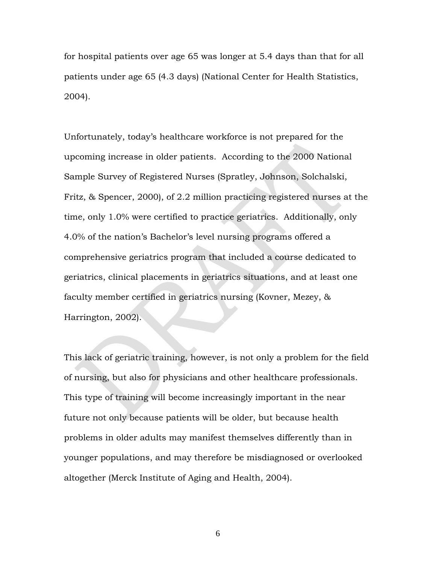for hospital patients over age 65 was longer at 5.4 days than that for all patients under age 65 (4.3 days) (National Center for Health Statistics, 2004).

Unfortunately, today's healthcare workforce is not prepared for the upcoming increase in older patients. According to the 2000 National Sample Survey of Registered Nurses (Spratley, Johnson, Solchalski, Fritz, & Spencer, 2000), of 2.2 million practicing registered nurses at the time, only 1.0% were certified to practice geriatrics. Additionally, only 4.0% of the nation's Bachelor's level nursing programs offered a comprehensive geriatrics program that included a course dedicated to geriatrics, clinical placements in geriatrics situations, and at least one faculty member certified in geriatrics nursing (Kovner, Mezey, & Harrington, 2002).

This lack of geriatric training, however, is not only a problem for the field of nursing, but also for physicians and other healthcare professionals. This type of training will become increasingly important in the near future not only because patients will be older, but because health problems in older adults may manifest themselves differently than in younger populations, and may therefore be misdiagnosed or overlooked altogether (Merck Institute of Aging and Health, 2004).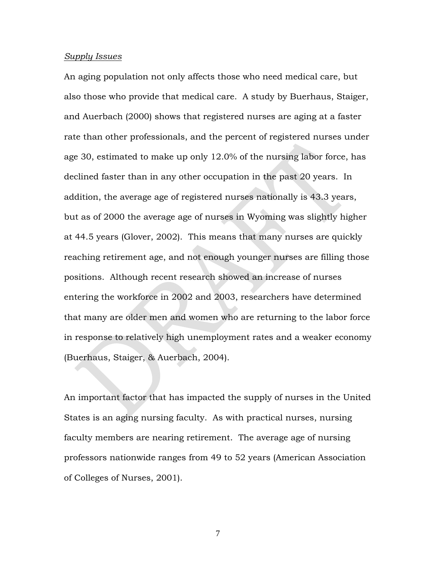#### *Supply Issues*

An aging population not only affects those who need medical care, but also those who provide that medical care. A study by Buerhaus, Staiger, and Auerbach (2000) shows that registered nurses are aging at a faster rate than other professionals, and the percent of registered nurses under age 30, estimated to make up only 12.0% of the nursing labor force, has declined faster than in any other occupation in the past 20 years. In addition, the average age of registered nurses nationally is 43.3 years, but as of 2000 the average age of nurses in Wyoming was slightly higher at 44.5 years (Glover, 2002). This means that many nurses are quickly reaching retirement age, and not enough younger nurses are filling those positions. Although recent research showed an increase of nurses entering the workforce in 2002 and 2003, researchers have determined that many are older men and women who are returning to the labor force in response to relatively high unemployment rates and a weaker economy (Buerhaus, Staiger, & Auerbach, 2004).

An important factor that has impacted the supply of nurses in the United States is an aging nursing faculty. As with practical nurses, nursing faculty members are nearing retirement. The average age of nursing professors nationwide ranges from 49 to 52 years (American Association of Colleges of Nurses, 2001).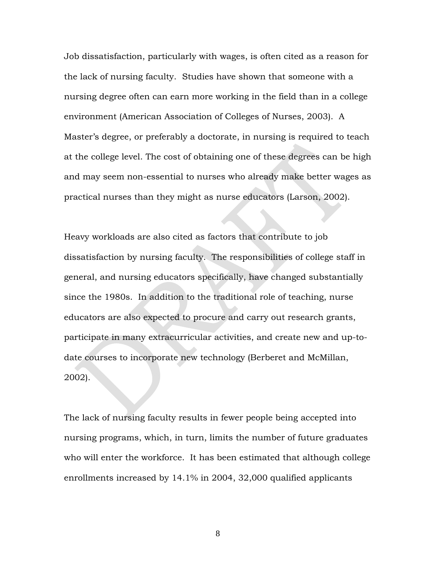Job dissatisfaction, particularly with wages, is often cited as a reason for the lack of nursing faculty. Studies have shown that someone with a nursing degree often can earn more working in the field than in a college environment (American Association of Colleges of Nurses, 2003). A Master's degree, or preferably a doctorate, in nursing is required to teach at the college level. The cost of obtaining one of these degrees can be high and may seem non-essential to nurses who already make better wages as practical nurses than they might as nurse educators (Larson, 2002).

Heavy workloads are also cited as factors that contribute to job dissatisfaction by nursing faculty. The responsibilities of college staff in general, and nursing educators specifically, have changed substantially since the 1980s. In addition to the traditional role of teaching, nurse educators are also expected to procure and carry out research grants, participate in many extracurricular activities, and create new and up-todate courses to incorporate new technology (Berberet and McMillan, 2002).

The lack of nursing faculty results in fewer people being accepted into nursing programs, which, in turn, limits the number of future graduates who will enter the workforce. It has been estimated that although college enrollments increased by 14.1% in 2004, 32,000 qualified applicants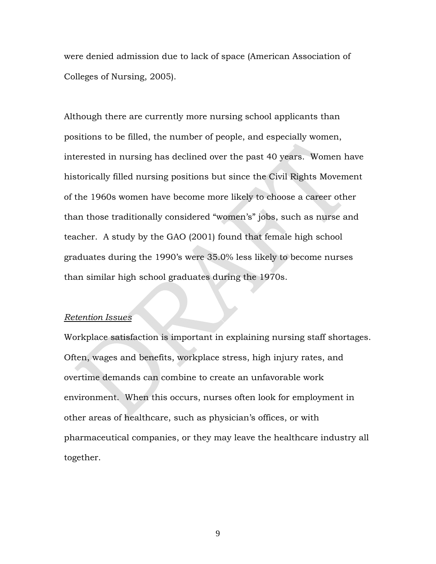were denied admission due to lack of space (American Association of Colleges of Nursing, 2005).

Although there are currently more nursing school applicants than positions to be filled, the number of people, and especially women, interested in nursing has declined over the past 40 years. Women have historically filled nursing positions but since the Civil Rights Movement of the 1960s women have become more likely to choose a career other than those traditionally considered "women's" jobs, such as nurse and teacher. A study by the GAO (2001) found that female high school graduates during the 1990's were 35.0% less likely to become nurses than similar high school graduates during the 1970s.

#### *Retention Issues*

Workplace satisfaction is important in explaining nursing staff shortages. Often, wages and benefits, workplace stress, high injury rates, and overtime demands can combine to create an unfavorable work environment. When this occurs, nurses often look for employment in other areas of healthcare, such as physician's offices, or with pharmaceutical companies, or they may leave the healthcare industry all together.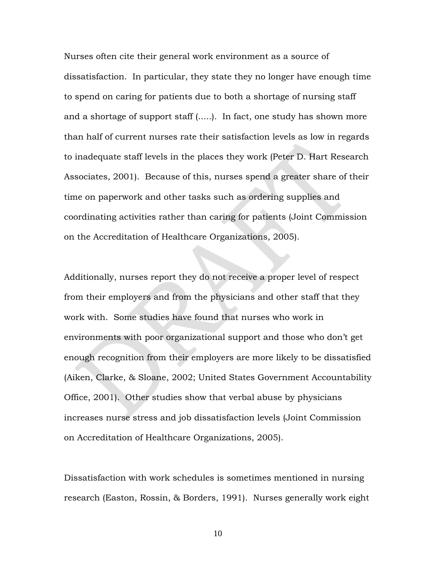Nurses often cite their general work environment as a source of dissatisfaction. In particular, they state they no longer have enough time to spend on caring for patients due to both a shortage of nursing staff and a shortage of support staff (.....). In fact, one study has shown more than half of current nurses rate their satisfaction levels as low in regards to inadequate staff levels in the places they work (Peter D. Hart Research Associates, 2001). Because of this, nurses spend a greater share of their time on paperwork and other tasks such as ordering supplies and coordinating activities rather than caring for patients (Joint Commission on the Accreditation of Healthcare Organizations, 2005).

Additionally, nurses report they do not receive a proper level of respect from their employers and from the physicians and other staff that they work with. Some studies have found that nurses who work in environments with poor organizational support and those who don't get enough recognition from their employers are more likely to be dissatisfied (Aiken, Clarke, & Sloane, 2002; United States Government Accountability Office, 2001). Other studies show that verbal abuse by physicians increases nurse stress and job dissatisfaction levels (Joint Commission on Accreditation of Healthcare Organizations, 2005).

Dissatisfaction with work schedules is sometimes mentioned in nursing research (Easton, Rossin, & Borders, 1991). Nurses generally work eight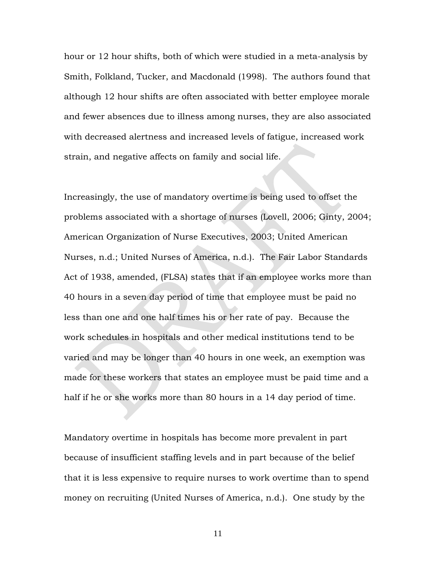hour or 12 hour shifts, both of which were studied in a meta-analysis by Smith, Folkland, Tucker, and Macdonald (1998). The authors found that although 12 hour shifts are often associated with better employee morale and fewer absences due to illness among nurses, they are also associated with decreased alertness and increased levels of fatigue, increased work strain, and negative affects on family and social life.

Increasingly, the use of mandatory overtime is being used to offset the problems associated with a shortage of nurses (Lovell, 2006; Ginty, 2004; American Organization of Nurse Executives, 2003; United American Nurses, n.d.; United Nurses of America, n.d.). The Fair Labor Standards Act of 1938, amended, (FLSA) states that if an employee works more than 40 hours in a seven day period of time that employee must be paid no less than one and one half times his or her rate of pay. Because the work schedules in hospitals and other medical institutions tend to be varied and may be longer than 40 hours in one week, an exemption was made for these workers that states an employee must be paid time and a half if he or she works more than 80 hours in a 14 day period of time.

Mandatory overtime in hospitals has become more prevalent in part because of insufficient staffing levels and in part because of the belief that it is less expensive to require nurses to work overtime than to spend money on recruiting (United Nurses of America, n.d.). One study by the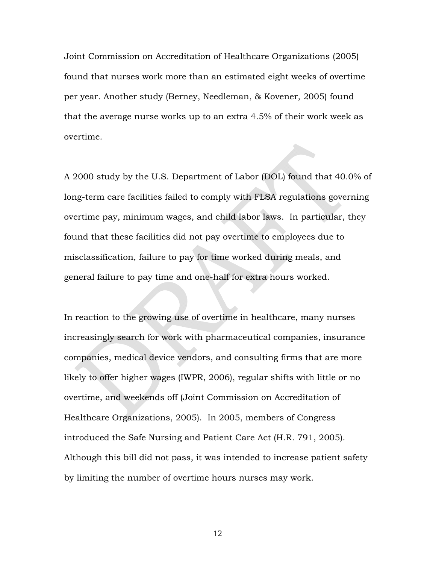Joint Commission on Accreditation of Healthcare Organizations (2005) found that nurses work more than an estimated eight weeks of overtime per year. Another study (Berney, Needleman, & Kovener, 2005) found that the average nurse works up to an extra 4.5% of their work week as overtime.

A 2000 study by the U.S. Department of Labor (DOL) found that 40.0% of long-term care facilities failed to comply with FLSA regulations governing overtime pay, minimum wages, and child labor laws. In particular, they found that these facilities did not pay overtime to employees due to misclassification, failure to pay for time worked during meals, and general failure to pay time and one-half for extra hours worked.

In reaction to the growing use of overtime in healthcare, many nurses increasingly search for work with pharmaceutical companies, insurance companies, medical device vendors, and consulting firms that are more likely to offer higher wages (IWPR, 2006), regular shifts with little or no overtime, and weekends off (Joint Commission on Accreditation of Healthcare Organizations, 2005). In 2005, members of Congress introduced the Safe Nursing and Patient Care Act (H.R. 791, 2005). Although this bill did not pass, it was intended to increase patient safety by limiting the number of overtime hours nurses may work.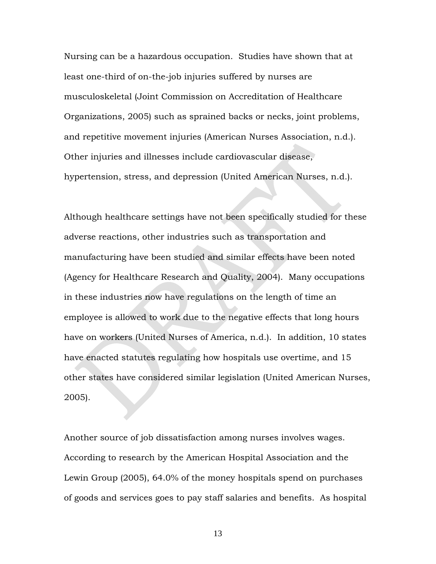Nursing can be a hazardous occupation. Studies have shown that at least one-third of on-the-job injuries suffered by nurses are musculoskeletal (Joint Commission on Accreditation of Healthcare Organizations, 2005) such as sprained backs or necks, joint problems, and repetitive movement injuries (American Nurses Association, n.d.). Other injuries and illnesses include cardiovascular disease, hypertension, stress, and depression (United American Nurses, n.d.).

Although healthcare settings have not been specifically studied for these adverse reactions, other industries such as transportation and manufacturing have been studied and similar effects have been noted (Agency for Healthcare Research and Quality, 2004). Many occupations in these industries now have regulations on the length of time an employee is allowed to work due to the negative effects that long hours have on workers (United Nurses of America, n.d.). In addition, 10 states have enacted statutes regulating how hospitals use overtime, and 15 other states have considered similar legislation (United American Nurses, 2005).

Another source of job dissatisfaction among nurses involves wages. According to research by the American Hospital Association and the Lewin Group (2005), 64.0% of the money hospitals spend on purchases of goods and services goes to pay staff salaries and benefits. As hospital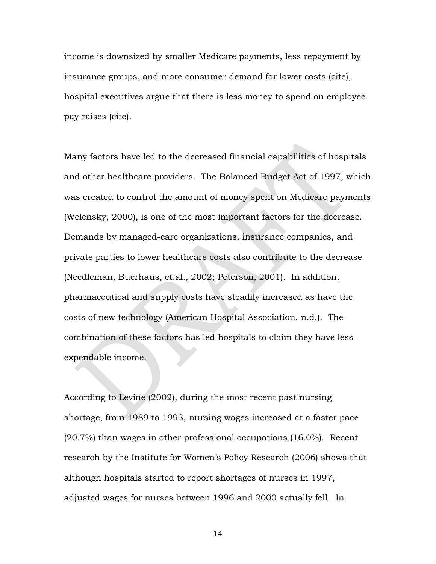income is downsized by smaller Medicare payments, less repayment by insurance groups, and more consumer demand for lower costs (cite), hospital executives argue that there is less money to spend on employee pay raises (cite).

Many factors have led to the decreased financial capabilities of hospitals and other healthcare providers. The Balanced Budget Act of 1997, which was created to control the amount of money spent on Medicare payments (Welensky, 2000), is one of the most important factors for the decrease. Demands by managed-care organizations, insurance companies, and private parties to lower healthcare costs also contribute to the decrease (Needleman, Buerhaus, et.al., 2002; Peterson, 2001). In addition, pharmaceutical and supply costs have steadily increased as have the costs of new technology (American Hospital Association, n.d.). The combination of these factors has led hospitals to claim they have less expendable income.

According to Levine (2002), during the most recent past nursing shortage, from 1989 to 1993, nursing wages increased at a faster pace (20.7%) than wages in other professional occupations (16.0%). Recent research by the Institute for Women's Policy Research (2006) shows that although hospitals started to report shortages of nurses in 1997, adjusted wages for nurses between 1996 and 2000 actually fell. In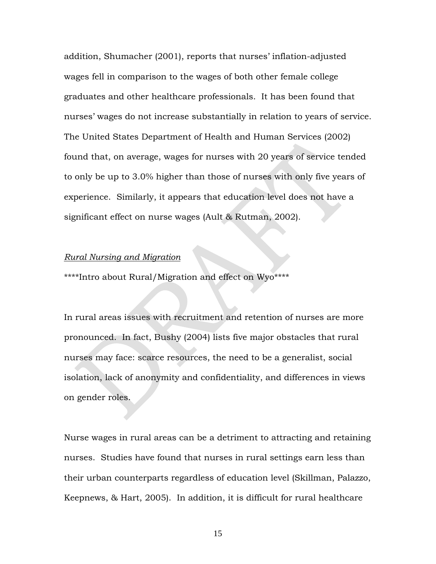addition, Shumacher (2001), reports that nurses' inflation-adjusted wages fell in comparison to the wages of both other female college graduates and other healthcare professionals. It has been found that nurses' wages do not increase substantially in relation to years of service. The United States Department of Health and Human Services (2002) found that, on average, wages for nurses with 20 years of service tended to only be up to 3.0% higher than those of nurses with only five years of experience. Similarly, it appears that education level does not have a significant effect on nurse wages (Ault & Rutman, 2002).

#### *Rural Nursing and Migration*

\*\*\*\*Intro about Rural/Migration and effect on Wyo\*\*\*\*

In rural areas issues with recruitment and retention of nurses are more pronounced. In fact, Bushy (2004) lists five major obstacles that rural nurses may face: scarce resources, the need to be a generalist, social isolation, lack of anonymity and confidentiality, and differences in views on gender roles.

Nurse wages in rural areas can be a detriment to attracting and retaining nurses. Studies have found that nurses in rural settings earn less than their urban counterparts regardless of education level (Skillman, Palazzo, Keepnews, & Hart, 2005). In addition, it is difficult for rural healthcare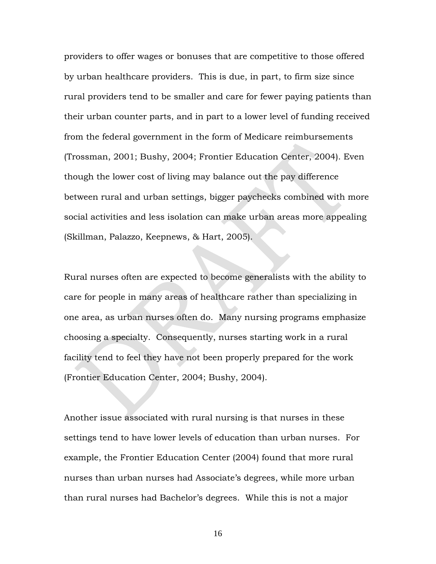providers to offer wages or bonuses that are competitive to those offered by urban healthcare providers. This is due, in part, to firm size since rural providers tend to be smaller and care for fewer paying patients than their urban counter parts, and in part to a lower level of funding received from the federal government in the form of Medicare reimbursements (Trossman, 2001; Bushy, 2004; Frontier Education Center, 2004). Even though the lower cost of living may balance out the pay difference between rural and urban settings, bigger paychecks combined with more social activities and less isolation can make urban areas more appealing (Skillman, Palazzo, Keepnews, & Hart, 2005).

Rural nurses often are expected to become generalists with the ability to care for people in many areas of healthcare rather than specializing in one area, as urban nurses often do. Many nursing programs emphasize choosing a specialty. Consequently, nurses starting work in a rural facility tend to feel they have not been properly prepared for the work (Frontier Education Center, 2004; Bushy, 2004).

Another issue associated with rural nursing is that nurses in these settings tend to have lower levels of education than urban nurses. For example, the Frontier Education Center (2004) found that more rural nurses than urban nurses had Associate's degrees, while more urban than rural nurses had Bachelor's degrees. While this is not a major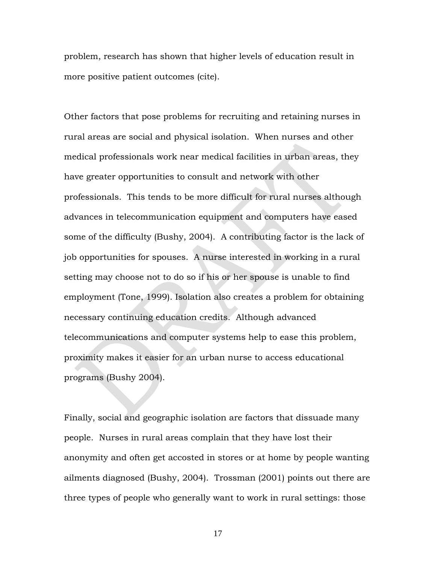problem, research has shown that higher levels of education result in more positive patient outcomes (cite).

Other factors that pose problems for recruiting and retaining nurses in rural areas are social and physical isolation. When nurses and other medical professionals work near medical facilities in urban areas, they have greater opportunities to consult and network with other professionals. This tends to be more difficult for rural nurses although advances in telecommunication equipment and computers have eased some of the difficulty (Bushy, 2004). A contributing factor is the lack of job opportunities for spouses. A nurse interested in working in a rural setting may choose not to do so if his or her spouse is unable to find employment (Tone, 1999). Isolation also creates a problem for obtaining necessary continuing education credits. Although advanced telecommunications and computer systems help to ease this problem, proximity makes it easier for an urban nurse to access educational programs (Bushy 2004).

Finally, social and geographic isolation are factors that dissuade many people. Nurses in rural areas complain that they have lost their anonymity and often get accosted in stores or at home by people wanting ailments diagnosed (Bushy, 2004). Trossman (2001) points out there are three types of people who generally want to work in rural settings: those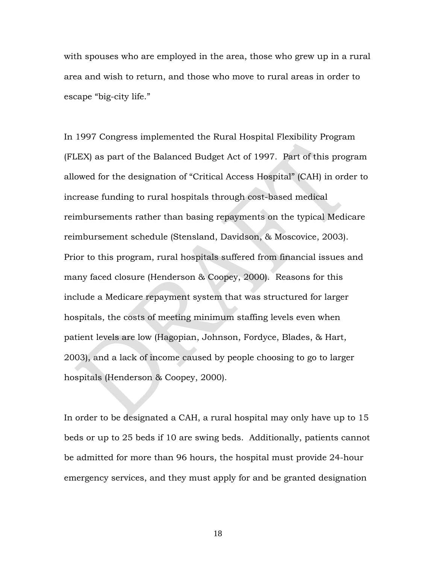with spouses who are employed in the area, those who grew up in a rural area and wish to return, and those who move to rural areas in order to escape "big-city life."

In 1997 Congress implemented the Rural Hospital Flexibility Program (FLEX) as part of the Balanced Budget Act of 1997. Part of this program allowed for the designation of "Critical Access Hospital" (CAH) in order to increase funding to rural hospitals through cost-based medical reimbursements rather than basing repayments on the typical Medicare reimbursement schedule (Stensland, Davidson, & Moscovice, 2003). Prior to this program, rural hospitals suffered from financial issues and many faced closure (Henderson & Coopey, 2000). Reasons for this include a Medicare repayment system that was structured for larger hospitals, the costs of meeting minimum staffing levels even when patient levels are low (Hagopian, Johnson, Fordyce, Blades, & Hart, 2003), and a lack of income caused by people choosing to go to larger hospitals (Henderson & Coopey, 2000).

In order to be designated a CAH, a rural hospital may only have up to 15 beds or up to 25 beds if 10 are swing beds. Additionally, patients cannot be admitted for more than 96 hours, the hospital must provide 24-hour emergency services, and they must apply for and be granted designation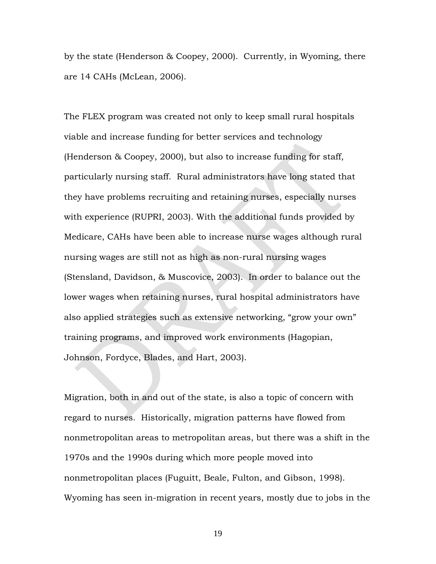by the state (Henderson & Coopey, 2000). Currently, in Wyoming, there are 14 CAHs (McLean, 2006).

The FLEX program was created not only to keep small rural hospitals viable and increase funding for better services and technology (Henderson & Coopey, 2000), but also to increase funding for staff, particularly nursing staff. Rural administrators have long stated that they have problems recruiting and retaining nurses, especially nurses with experience (RUPRI, 2003). With the additional funds provided by Medicare, CAHs have been able to increase nurse wages although rural nursing wages are still not as high as non-rural nursing wages (Stensland, Davidson, & Muscovice, 2003). In order to balance out the lower wages when retaining nurses, rural hospital administrators have also applied strategies such as extensive networking, "grow your own" training programs, and improved work environments (Hagopian, Johnson, Fordyce, Blades, and Hart, 2003).

Migration, both in and out of the state, is also a topic of concern with regard to nurses. Historically, migration patterns have flowed from nonmetropolitan areas to metropolitan areas, but there was a shift in the 1970s and the 1990s during which more people moved into nonmetropolitan places (Fuguitt, Beale, Fulton, and Gibson, 1998). Wyoming has seen in-migration in recent years, mostly due to jobs in the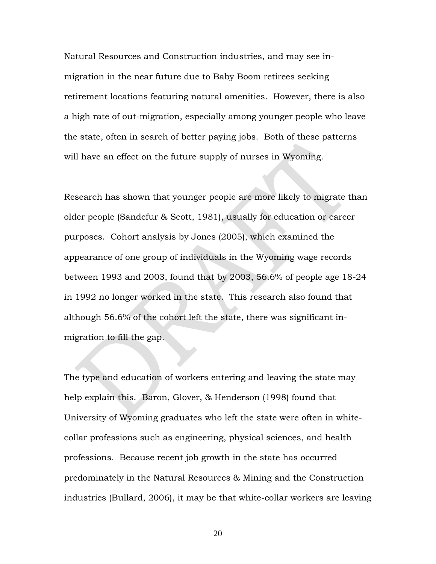Natural Resources and Construction industries, and may see inmigration in the near future due to Baby Boom retirees seeking retirement locations featuring natural amenities. However, there is also a high rate of out-migration, especially among younger people who leave the state, often in search of better paying jobs. Both of these patterns will have an effect on the future supply of nurses in Wyoming.

Research has shown that younger people are more likely to migrate than older people (Sandefur & Scott, 1981), usually for education or career purposes. Cohort analysis by Jones (2005), which examined the appearance of one group of individuals in the Wyoming wage records between 1993 and 2003, found that by 2003, 56.6% of people age 18-24 in 1992 no longer worked in the state. This research also found that although 56.6% of the cohort left the state, there was significant inmigration to fill the gap.

The type and education of workers entering and leaving the state may help explain this. Baron, Glover, & Henderson (1998) found that University of Wyoming graduates who left the state were often in whitecollar professions such as engineering, physical sciences, and health professions. Because recent job growth in the state has occurred predominately in the Natural Resources & Mining and the Construction industries (Bullard, 2006), it may be that white-collar workers are leaving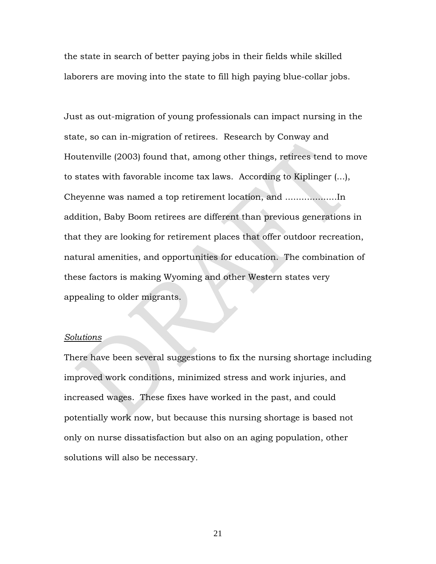the state in search of better paying jobs in their fields while skilled laborers are moving into the state to fill high paying blue-collar jobs.

Just as out-migration of young professionals can impact nursing in the state, so can in-migration of retirees. Research by Conway and Houtenville (2003) found that, among other things, retirees tend to move to states with favorable income tax laws. According to Kiplinger (...), Cheyenne was named a top retirement location, and ...................In addition, Baby Boom retirees are different than previous generations in that they are looking for retirement places that offer outdoor recreation, natural amenities, and opportunities for education. The combination of these factors is making Wyoming and other Western states very appealing to older migrants.

#### *Solutions*

There have been several suggestions to fix the nursing shortage including improved work conditions, minimized stress and work injuries, and increased wages. These fixes have worked in the past, and could potentially work now, but because this nursing shortage is based not only on nurse dissatisfaction but also on an aging population, other solutions will also be necessary*.*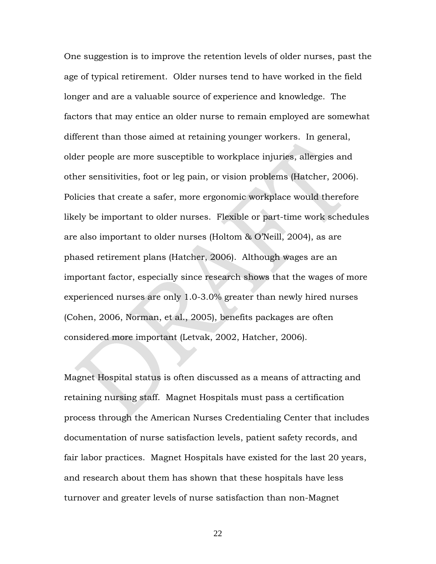One suggestion is to improve the retention levels of older nurses, past the age of typical retirement. Older nurses tend to have worked in the field longer and are a valuable source of experience and knowledge. The factors that may entice an older nurse to remain employed are somewhat different than those aimed at retaining younger workers. In general, older people are more susceptible to workplace injuries, allergies and other sensitivities, foot or leg pain, or vision problems (Hatcher, 2006). Policies that create a safer, more ergonomic workplace would therefore likely be important to older nurses. Flexible or part-time work schedules are also important to older nurses (Holtom & O'Neill, 2004), as are phased retirement plans (Hatcher, 2006). Although wages are an important factor, especially since research shows that the wages of more experienced nurses are only 1.0-3.0% greater than newly hired nurses (Cohen, 2006, Norman, et al., 2005), benefits packages are often considered more important (Letvak, 2002, Hatcher, 2006).

Magnet Hospital status is often discussed as a means of attracting and retaining nursing staff. Magnet Hospitals must pass a certification process through the American Nurses Credentialing Center that includes documentation of nurse satisfaction levels, patient safety records, and fair labor practices. Magnet Hospitals have existed for the last 20 years, and research about them has shown that these hospitals have less turnover and greater levels of nurse satisfaction than non-Magnet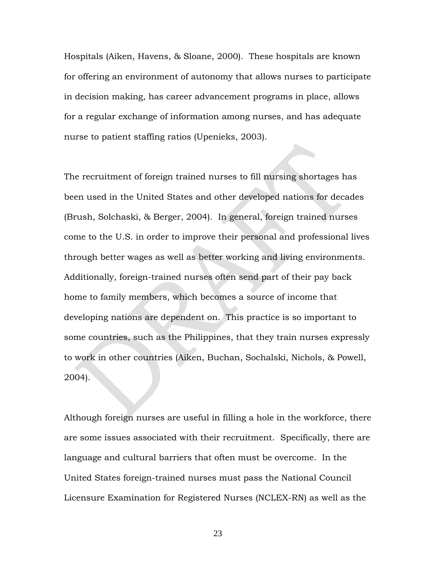Hospitals (Aiken, Havens, & Sloane, 2000). These hospitals are known for offering an environment of autonomy that allows nurses to participate in decision making, has career advancement programs in place, allows for a regular exchange of information among nurses, and has adequate nurse to patient staffing ratios (Upenieks, 2003).

The recruitment of foreign trained nurses to fill nursing shortages has been used in the United States and other developed nations for decades (Brush, Solchaski, & Berger, 2004). In general, foreign trained nurses come to the U.S. in order to improve their personal and professional lives through better wages as well as better working and living environments. Additionally, foreign-trained nurses often send part of their pay back home to family members, which becomes a source of income that developing nations are dependent on. This practice is so important to some countries, such as the Philippines, that they train nurses expressly to work in other countries (Aiken, Buchan, Sochalski, Nichols, & Powell, 2004).

Although foreign nurses are useful in filling a hole in the workforce, there are some issues associated with their recruitment. Specifically, there are language and cultural barriers that often must be overcome. In the United States foreign-trained nurses must pass the National Council Licensure Examination for Registered Nurses (NCLEX-RN) as well as the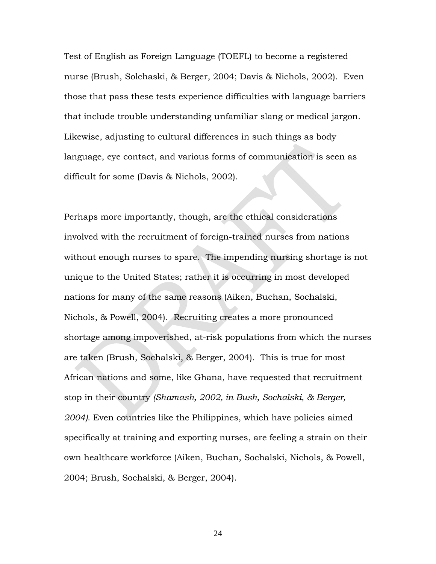Test of English as Foreign Language (TOEFL) to become a registered nurse (Brush, Solchaski, & Berger, 2004; Davis & Nichols, 2002). Even those that pass these tests experience difficulties with language barriers that include trouble understanding unfamiliar slang or medical jargon. Likewise, adjusting to cultural differences in such things as body language, eye contact, and various forms of communication is seen as difficult for some (Davis & Nichols, 2002).

Perhaps more importantly, though, are the ethical considerations involved with the recruitment of foreign-trained nurses from nations without enough nurses to spare. The impending nursing shortage is not unique to the United States; rather it is occurring in most developed nations for many of the same reasons (Aiken, Buchan, Sochalski, Nichols, & Powell, 2004). Recruiting creates a more pronounced shortage among impoverished, at-risk populations from which the nurses are taken (Brush, Sochalski, & Berger, 2004). This is true for most African nations and some, like Ghana, have requested that recruitment stop in their country *(Shamash, 2002, in Bush, Sochalski, & Berger, 2004)*. Even countries like the Philippines, which have policies aimed specifically at training and exporting nurses, are feeling a strain on their own healthcare workforce (Aiken, Buchan, Sochalski, Nichols, & Powell, 2004; Brush, Sochalski, & Berger, 2004).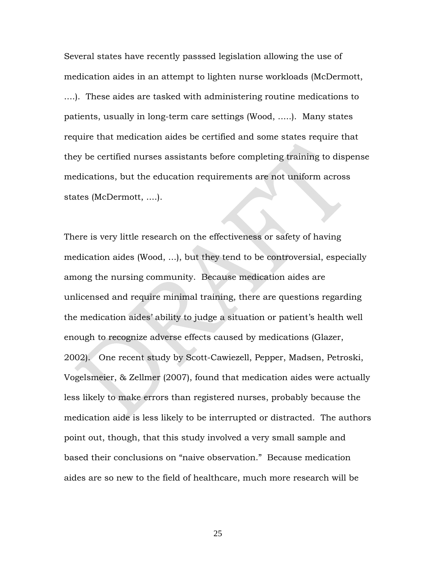Several states have recently passsed legislation allowing the use of medication aides in an attempt to lighten nurse workloads (McDermott, ....). These aides are tasked with administering routine medications to patients, usually in long-term care settings (Wood, .....). Many states require that medication aides be certified and some states require that they be certified nurses assistants before completing training to dispense medications, but the education requirements are not uniform across states (McDermott, ....).

There is very little research on the effectiveness or safety of having medication aides (Wood, ...), but they tend to be controversial, especially among the nursing community. Because medication aides are unlicensed and require minimal training, there are questions regarding the medication aides' ability to judge a situation or patient's health well enough to recognize adverse effects caused by medications (Glazer, 2002). One recent study by Scott-Cawiezell, Pepper, Madsen, Petroski, Vogelsmeier, & Zellmer (2007), found that medication aides were actually less likely to make errors than registered nurses, probably because the medication aide is less likely to be interrupted or distracted. The authors point out, though, that this study involved a very small sample and based their conclusions on "naive observation." Because medication aides are so new to the field of healthcare, much more research will be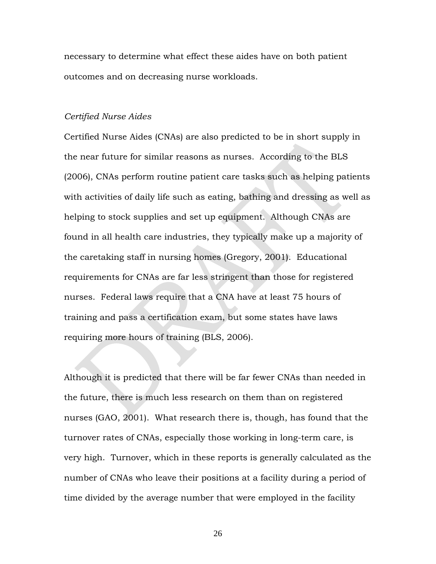necessary to determine what effect these aides have on both patient outcomes and on decreasing nurse workloads.

#### *Certified Nurse Aides*

Certified Nurse Aides (CNAs) are also predicted to be in short supply in the near future for similar reasons as nurses. According to the BLS (2006), CNAs perform routine patient care tasks such as helping patients with activities of daily life such as eating, bathing and dressing as well as helping to stock supplies and set up equipment. Although CNAs are found in all health care industries, they typically make up a majority of the caretaking staff in nursing homes (Gregory, 2001). Educational requirements for CNAs are far less stringent than those for registered nurses. Federal laws require that a CNA have at least 75 hours of training and pass a certification exam, but some states have laws requiring more hours of training (BLS, 2006).

Although it is predicted that there will be far fewer CNAs than needed in the future, there is much less research on them than on registered nurses (GAO, 2001). What research there is, though, has found that the turnover rates of CNAs, especially those working in long-term care, is very high. Turnover, which in these reports is generally calculated as the number of CNAs who leave their positions at a facility during a period of time divided by the average number that were employed in the facility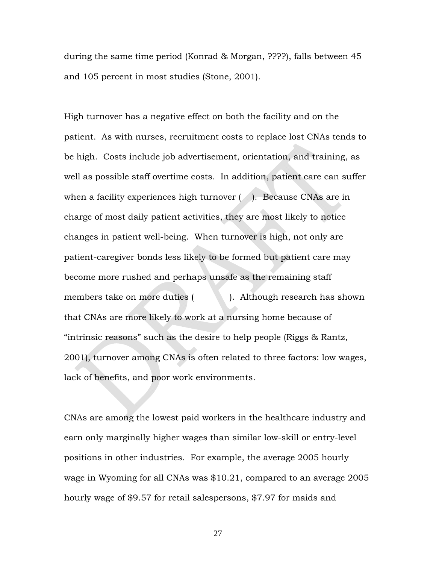during the same time period (Konrad & Morgan, ????), falls between 45 and 105 percent in most studies (Stone, 2001).

High turnover has a negative effect on both the facility and on the patient. As with nurses, recruitment costs to replace lost CNAs tends to be high. Costs include job advertisement, orientation, and training, as well as possible staff overtime costs. In addition, patient care can suffer when a facility experiences high turnover (2). Because CNAs are in charge of most daily patient activities, they are most likely to notice changes in patient well-being. When turnover is high, not only are patient-caregiver bonds less likely to be formed but patient care may become more rushed and perhaps unsafe as the remaining staff members take on more duties ( ). Although research has shown that CNAs are more likely to work at a nursing home because of "intrinsic reasons" such as the desire to help people (Riggs & Rantz, 2001), turnover among CNAs is often related to three factors: low wages, lack of benefits, and poor work environments.

CNAs are among the lowest paid workers in the healthcare industry and earn only marginally higher wages than similar low-skill or entry-level positions in other industries. For example, the average 2005 hourly wage in Wyoming for all CNAs was \$10.21, compared to an average 2005 hourly wage of \$9.57 for retail salespersons, \$7.97 for maids and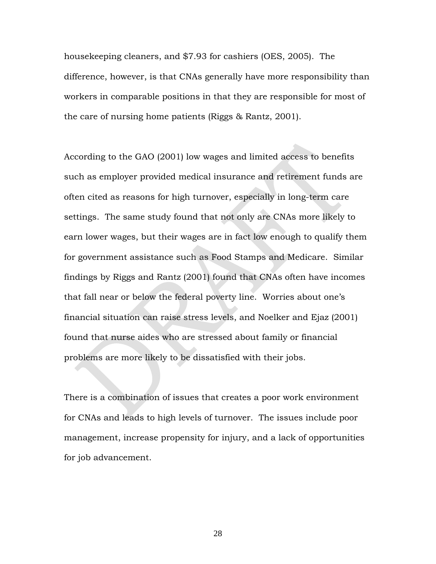housekeeping cleaners, and \$7.93 for cashiers (OES, 2005). The difference, however, is that CNAs generally have more responsibility than workers in comparable positions in that they are responsible for most of the care of nursing home patients (Riggs & Rantz, 2001).

According to the GAO (2001) low wages and limited access to benefits such as employer provided medical insurance and retirement funds are often cited as reasons for high turnover, especially in long-term care settings. The same study found that not only are CNAs more likely to earn lower wages, but their wages are in fact low enough to qualify them for government assistance such as Food Stamps and Medicare. Similar findings by Riggs and Rantz (2001) found that CNAs often have incomes that fall near or below the federal poverty line. Worries about one's financial situation can raise stress levels, and Noelker and Ejaz (2001) found that nurse aides who are stressed about family or financial problems are more likely to be dissatisfied with their jobs.

There is a combination of issues that creates a poor work environment for CNAs and leads to high levels of turnover. The issues include poor management, increase propensity for injury, and a lack of opportunities for job advancement.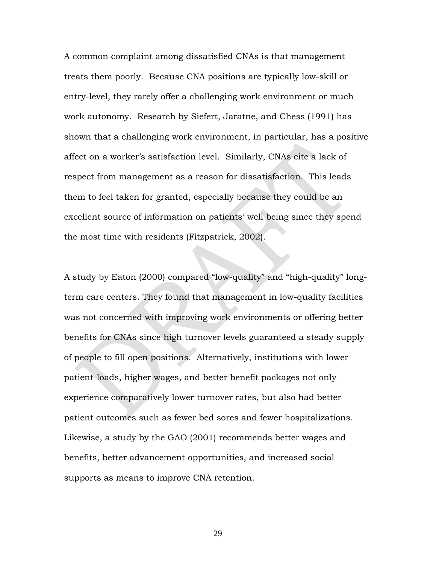A common complaint among dissatisfied CNAs is that management treats them poorly. Because CNA positions are typically low-skill or entry-level, they rarely offer a challenging work environment or much work autonomy. Research by Siefert, Jaratne, and Chess (1991) has shown that a challenging work environment, in particular, has a positive affect on a worker's satisfaction level. Similarly, CNAs cite a lack of respect from management as a reason for dissatisfaction. This leads them to feel taken for granted, especially because they could be an excellent source of information on patients' well being since they spend the most time with residents (Fitzpatrick, 2002).

A study by Eaton (2000) compared "low-quality" and "high-quality" longterm care centers. They found that management in low-quality facilities was not concerned with improving work environments or offering better benefits for CNAs since high turnover levels guaranteed a steady supply of people to fill open positions. Alternatively, institutions with lower patient-loads, higher wages, and better benefit packages not only experience comparatively lower turnover rates, but also had better patient outcomes such as fewer bed sores and fewer hospitalizations. Likewise, a study by the GAO (2001) recommends better wages and benefits, better advancement opportunities, and increased social supports as means to improve CNA retention.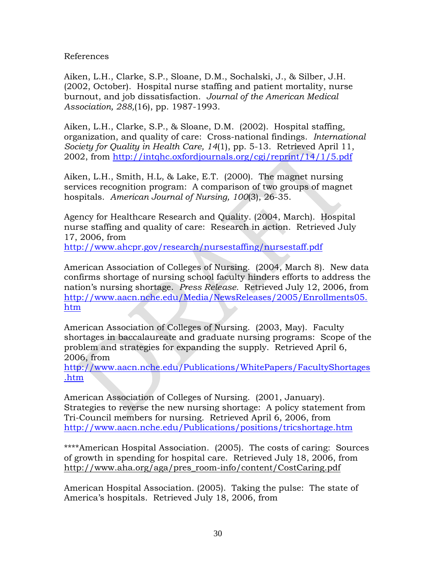References

Aiken, L.H., Clarke, S.P., Sloane, D.M., Sochalski, J., & Silber, J.H. (2002, October). Hospital nurse staffing and patient mortality, nurse burnout, and job dissatisfaction. *Journal of the American Medical Association, 288,*(16), pp. 1987-1993.

Aiken, L.H., Clarke, S.P., & Sloane, D.M. (2002). Hospital staffing, organization, and quality of care: Cross-national findings. *International Society for Quality in Health Care, 14*(1), pp. 5-13. Retrieved April 11, 2002, from<http://intqhc.oxfordjournals.org/cgi/reprint/14/1/5.pdf>

Aiken, L.H., Smith, H.L, & Lake, E.T. (2000). The magnet nursing services recognition program: A comparison of two groups of magnet hospitals. *American Journal of Nursing, 100*(3), 26-35.

Agency for Healthcare Research and Quality. (2004, March). Hospital nurse staffing and quality of care: Research in action. Retrieved July 17, 2006, from

<http://www.ahcpr.gov/research/nursestaffing/nursestaff.pdf>

American Association of Colleges of Nursing. (2004, March 8). New data confirms shortage of nursing school faculty hinders efforts to address the nation's nursing shortage. *Press Release.* Retrieved July 12, 2006, from [http://www.aacn.nche.edu/Media/NewsReleases/2005/Enrollments05.](http://www.aacn.nche.edu/Media/NewsReleases/2005/Enrollments05.htm) [htm](http://www.aacn.nche.edu/Media/NewsReleases/2005/Enrollments05.htm) 

American Association of Colleges of Nursing. (2003, May). Faculty shortages in baccalaureate and graduate nursing programs: Scope of the problem and strategies for expanding the supply. Retrieved April 6, 2006, from

[http://www.aacn.nche.edu/Publications/WhitePapers/FacultyShortages](http://www.aacn.nche.edu/Publications/WhitePapers/FacultyShortages.htm) [.htm](http://www.aacn.nche.edu/Publications/WhitePapers/FacultyShortages.htm)

American Association of Colleges of Nursing. (2001, January). Strategies to reverse the new nursing shortage: A policy statement from Tri-Council members for nursing. Retrieved April 6, 2006, from <http://www.aacn.nche.edu/Publications/positions/tricshortage.htm>

\*\*\*\*American Hospital Association. (2005). The costs of caring: Sources of growth in spending for hospital care. Retrieved July 18, 2006, from [http://www.aha.org/aga/pres\\_room-info/content/CostCaring.pdf](http://www.aha.org/aga/pres_room-info/content/CostCaring.pdf)

American Hospital Association. (2005). Taking the pulse: The state of America's hospitals. Retrieved July 18, 2006, from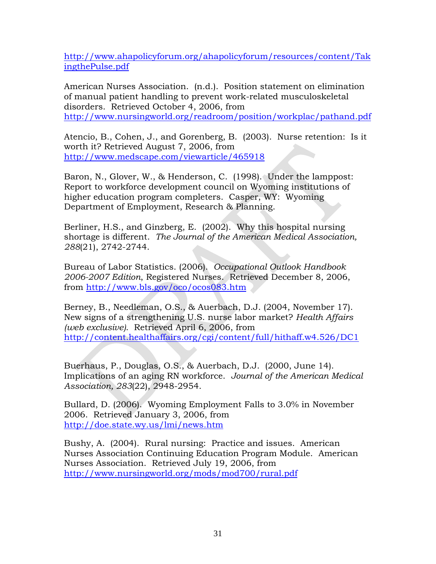[http://www.ahapolicyforum.org/ahapolicyforum/resources/content/Tak](http://www.ahapolicyforum.org/ahapolicyforum/resources/content/TakingthePulse.pdf) [ingthePulse.pdf](http://www.ahapolicyforum.org/ahapolicyforum/resources/content/TakingthePulse.pdf)

American Nurses Association. (n.d.). Position statement on elimination of manual patient handling to prevent work-related musculoskeletal disorders. Retrieved October 4, 2006, from <http://www.nursingworld.org/readroom/position/workplac/pathand.pdf>

Atencio, B., Cohen, J., and Gorenberg, B. (2003). Nurse retention: Is it worth it? Retrieved August 7, 2006, from <http://www.medscape.com/viewarticle/465918>

Baron, N., Glover, W., & Henderson, C. (1998). Under the lamppost: Report to workforce development council on Wyoming institutions of higher education program completers. Casper, WY: Wyoming Department of Employment, Research & Planning.

Berliner, H.S., and Ginzberg, E. (2002). Why this hospital nursing shortage is different. *The Journal of the American Medical Association, 288*(21), 2742-2744.

Bureau of Labor Statistics. (2006). *Occupational Outlook Handbook 2006-2007 Edition*, Registered Nurses. Retrieved December 8, 2006, from <http://www.bls.gov/oco/ocos083.htm>

Berney, B., Needleman, O.S., & Auerbach, D.J. (2004, November 17). New signs of a strengthening U.S. nurse labor market? *Health Affairs (web exclusive)*. Retrieved April 6, 2006, from <http://content.healthaffairs.org/cgi/content/full/hithaff.w4.526/DC1>

Buerhaus, P., Douglas, O.S., & Auerbach, D.J. (2000, June 14). Implications of an aging RN workforce. *Journal of the American Medical Association, 283*(22), 2948-2954.

Bullard, D. (2006). Wyoming Employment Falls to 3.0% in November 2006. Retrieved January 3, 2006, from <http://doe.state.wy.us/lmi/news.htm>

Bushy, A. (2004). Rural nursing: Practice and issues. American Nurses Association Continuing Education Program Module. American Nurses Association. Retrieved July 19, 2006, from <http://www.nursingworld.org/mods/mod700/rural.pdf>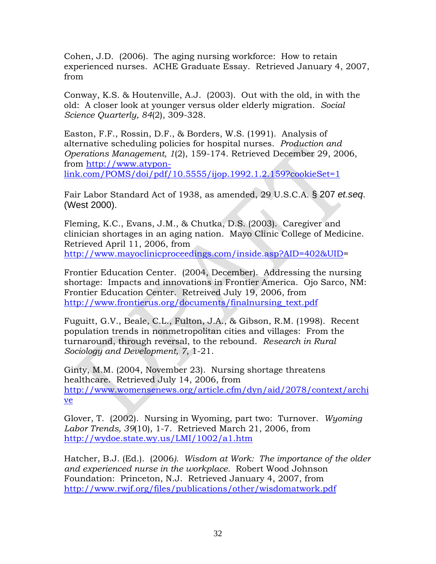Cohen, J.D. (2006). The aging nursing workforce: How to retain experienced nurses. ACHE Graduate Essay. Retrieved January 4, 2007, from

Conway, K.S. & Houtenville, A.J. (2003). Out with the old, in with the old: A closer look at younger versus older elderly migration. *Social Science Quarterly, 84*(2), 309-328.

Easton, F.F., Rossin, D.F., & Borders, W.S. (1991). Analysis of alternative scheduling policies for hospital nurses. *Production and Operations Management, 1*(2), 159-174. Retrieved December 29, 2006, from [http://www.atypon](http://www.atypon-link.com/POMS/doi/pdf/10.5555/ijop.1992.1.2.159?cookieSet=1)[link.com/POMS/doi/pdf/10.5555/ijop.1992.1.2.159?cookieSet=1](http://www.atypon-link.com/POMS/doi/pdf/10.5555/ijop.1992.1.2.159?cookieSet=1)

Fair Labor Standard Act of 1938, as amended, 29 U.S.C.A. § 207 *et.seq*. (West 2000).

Fleming, K.C., Evans, J.M., & Chutka, D.S. (2003). Caregiver and clinician shortages in an aging nation. Mayo Clinic College of Medicine. Retrieved April 11, 2006, from <http://www.mayoclinicproceedings.com/inside.asp?AID=402&UID>=

Frontier Education Center. (2004, December). Addressing the nursing shortage: Impacts and innovations in Frontier America. Ojo Sarco, NM: Frontier Education Center. Retreived July 19, 2006, from [http://www.frontierus.org/documents/finalnursing\\_text.pdf](http://www.frontierus.org/documents/finalnursing_text.pdf)

Fuguitt, G.V., Beale, C.L., Fulton, J.A., & Gibson, R.M. (1998). Recent population trends in nonmetropolitan cities and villages: From the turnaround, through reversal, to the rebound. *Research in Rural Sociology and Development, 7*, 1-21.

Ginty, M.M. (2004, November 23). Nursing shortage threatens healthcare. Retrieved July 14, 2006, from [http://www.womensenews.org/article.cfm/dyn/aid/2078/context/archi](http://www.womensenews.org/article.cfm/dyn/aid/2078/context/archive) [ve](http://www.womensenews.org/article.cfm/dyn/aid/2078/context/archive)

Glover, T. (2002). Nursing in Wyoming, part two: Turnover. *Wyoming Labor Trends, 39*(10), 1-7. Retrieved March 21, 2006, from <http://wydoe.state.wy.us/LMI/1002/a1.htm>

Hatcher, B.J. (Ed.). (2006*). Wisdom at Work: The importance of the older and experienced nurse in the workplace.* Robert Wood Johnson Foundation: Princeton, N.J. Retrieved January 4, 2007, from <http://www.rwjf.org/files/publications/other/wisdomatwork.pdf>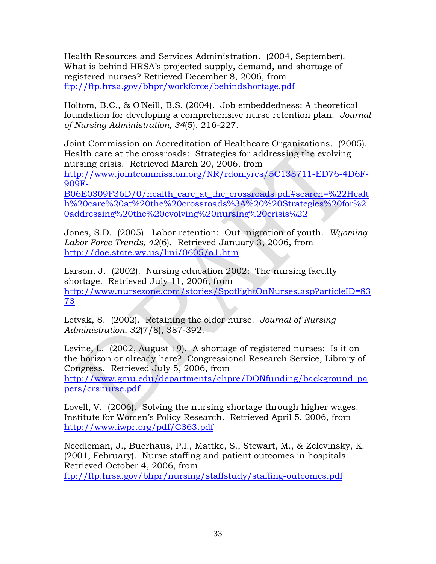Health Resources and Services Administration. (2004, September). What is behind HRSA's projected supply, demand, and shortage of registered nurses? Retrieved December 8, 2006, from <ftp://ftp.hrsa.gov/bhpr/workforce/behindshortage.pdf>

Holtom, B.C., & O'Neill, B.S. (2004). Job embeddedness: A theoretical foundation for developing a comprehensive nurse retention plan. *Journal of Nursing Administration, 34*(5), 216-227.

Joint Commission on Accreditation of Healthcare Organizations. (2005). Health care at the crossroads: Strategies for addressing the evolving nursing crisis. Retrieved March 20, 2006, from [http://www.jointcommission.org/NR/rdonlyres/5C138711-ED76-4D6F-](http://www.jointcommission.org/NR/rdonlyres/5C138711-ED76-4D6F-909F-B06E0309F36D/0/health_care_at_the_crossroads.pdf#search=%22Health%20care%20at%20the%20crossroads%3A%20%20Strategies%20for%20addressing%20the%20evolving%20nursing%20crisis%22)[909F-](http://www.jointcommission.org/NR/rdonlyres/5C138711-ED76-4D6F-909F-B06E0309F36D/0/health_care_at_the_crossroads.pdf#search=%22Health%20care%20at%20the%20crossroads%3A%20%20Strategies%20for%20addressing%20the%20evolving%20nursing%20crisis%22)[B06E0309F36D/0/health\\_care\\_at\\_the\\_crossroads.pdf#search=%22Healt](http://www.jointcommission.org/NR/rdonlyres/5C138711-ED76-4D6F-909F-B06E0309F36D/0/health_care_at_the_crossroads.pdf#search=%22Health%20care%20at%20the%20crossroads%3A%20%20Strategies%20for%20addressing%20the%20evolving%20nursing%20crisis%22) [h%20care%20at%20the%20crossroads%3A%20%20Strategies%20for%2](http://www.jointcommission.org/NR/rdonlyres/5C138711-ED76-4D6F-909F-B06E0309F36D/0/health_care_at_the_crossroads.pdf#search=%22Health%20care%20at%20the%20crossroads%3A%20%20Strategies%20for%20addressing%20the%20evolving%20nursing%20crisis%22)

[0addressing%20the%20evolving%20nursing%20crisis%22](http://www.jointcommission.org/NR/rdonlyres/5C138711-ED76-4D6F-909F-B06E0309F36D/0/health_care_at_the_crossroads.pdf#search=%22Health%20care%20at%20the%20crossroads%3A%20%20Strategies%20for%20addressing%20the%20evolving%20nursing%20crisis%22)

Jones, S.D. (2005). Labor retention: Out-migration of youth. *Wyoming Labor Force Trends, 42*(6). Retrieved January 3, 2006, from <http://doe.state.wy.us/lmi/0605/a1.htm>

Larson, J. (2002). Nursing education 2002: The nursing faculty shortage. Retrieved July 11, 2006, from [http://www.nursezone.com/stories/SpotlightOnNurses.asp?articleID=83](http://www.nursezone.com/stories/SpotlightOnNurses.asp?articleID=8373) [73](http://www.nursezone.com/stories/SpotlightOnNurses.asp?articleID=8373)

Letvak, S. (2002). Retaining the older nurse. *Journal of Nursing Administration, 32*(7/8), 387-392.

Levine, L. (2002, August 19). A shortage of registered nurses: Is it on the horizon or already here? Congressional Research Service, Library of Congress. Retrieved July 5, 2006, from [http://www.gmu.edu/departments/chpre/DONfunding/background\\_pa](http://www.gmu.edu/departments/chpre/DONfunding/background_papers/crsnurse.pdf) [pers/crsnurse.pdf](http://www.gmu.edu/departments/chpre/DONfunding/background_papers/crsnurse.pdf)

Lovell, V. (2006). Solving the nursing shortage through higher wages. Institute for Women's Policy Research. Retrieved April 5, 2006, from <http://www.iwpr.org/pdf/C363.pdf>

Needleman, J., Buerhaus, P.I., Mattke, S., Stewart, M., & Zelevinsky, K. (2001, February). Nurse staffing and patient outcomes in hospitals. Retrieved October 4, 2006, from <ftp://ftp.hrsa.gov/bhpr/nursing/staffstudy/staffing-outcomes.pdf>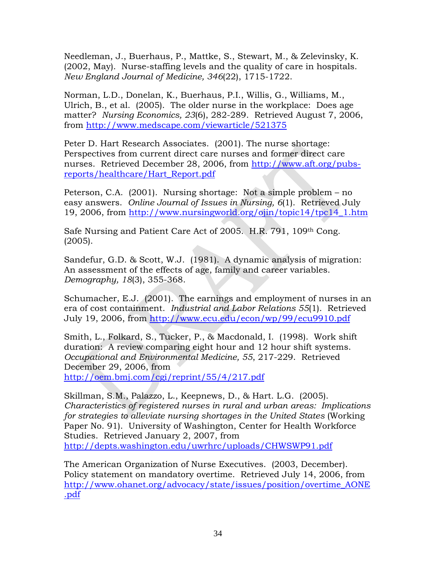Needleman, J., Buerhaus, P., Mattke, S., Stewart, M., & Zelevinsky, K. (2002, May). Nurse-staffing levels and the quality of care in hospitals. *New England Journal of Medicine, 346*(22), 1715-1722.

Norman, L.D., Donelan, K., Buerhaus, P.I., Willis, G., Williams, M., Ulrich, B., et al. (2005). The older nurse in the workplace: Does age matter? *Nursing Economics, 23*(6), 282-289. Retrieved August 7, 2006, from <http://www.medscape.com/viewarticle/521375>

Peter D. Hart Research Associates. (2001). The nurse shortage: Perspectives from current direct care nurses and former direct care nurses. Retrieved December 28, 2006, from [http://www.aft.org/pubs](http://www.aft.org/pubs-reports/healthcare/Hart_Report.pdf)[reports/healthcare/Hart\\_Report.pdf](http://www.aft.org/pubs-reports/healthcare/Hart_Report.pdf) 

Peterson, C.A. (2001). Nursing shortage: Not a simple problem – no easy answers. *Online Journal of Issues in Nursing, 6*(1). Retrieved July 19, 2006, from [http://www.nursingworld.org/ojin/topic14/tpc14\\_1.htm](http://www.nursingworld.org/ojin/topic14/tpc14_1.htm)

Safe Nursing and Patient Care Act of 2005. H.R. 791, 109th Cong. (2005).

Sandefur, G.D. & Scott, W.J. (1981). A dynamic analysis of migration: An assessment of the effects of age, family and career variables. *Demography, 18*(3), 355-368.

Schumacher, E.J. (2001). The earnings and employment of nurses in an era of cost containment. *Industrial and Labor Relations 55*(1). Retrieved July 19, 2006, from<http://www.ecu.edu/econ/wp/99/ecu9910.pdf>

Smith, L., Folkard, S., Tucker, P., & Macdonald, I. (1998). Work shift duration: A review comparing eight hour and 12 hour shift systems. *Occupational and Environmental Medicine, 55*, 217-229. Retrieved December 29, 2006, from <http://oem.bmj.com/cgi/reprint/55/4/217.pdf>

Skillman, S.M., Palazzo, L., Keepnews, D., & Hart. L.G. (2005). *Characteristics of registered nurses in rural and urban areas: Implications for strategies to alleviate nursing shortages in the United States* (Working Paper No. 91). University of Washington, Center for Health Workforce Studies. Retrieved January 2, 2007, from <http://depts.washington.edu/uwrhrc/uploads/CHWSWP91.pdf>

The American Organization of Nurse Executives. (2003, December). Policy statement on mandatory overtime. Retrieved July 14, 2006, from [http://www.ohanet.org/advocacy/state/issues/position/overtime\\_AONE](http://www.ohanet.org/advocacy/state/issues/position/overtime_AONE.pdf) [.pdf](http://www.ohanet.org/advocacy/state/issues/position/overtime_AONE.pdf)